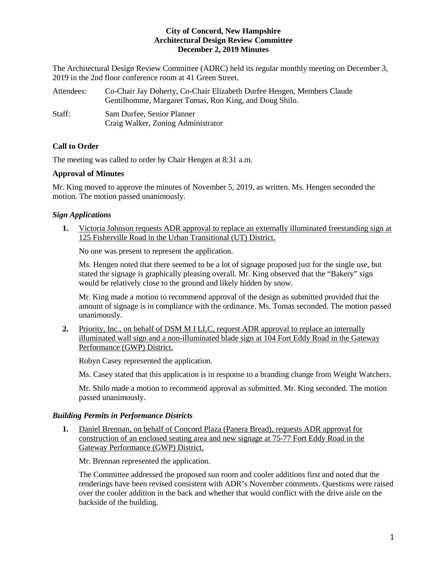### **City of Concord, New Hampshire Architectural Design Review Committee December 2, 2019 Minutes**

The Architectural Design Review Committee (ADRC) held its regular monthly meeting on December 3, 2019 in the 2nd floor conference room at 41 Green Street.

| Attendees: | Co-Chair Jay Doherty, Co-Chair Elizabeth Durfee Hengen, Members Claude |
|------------|------------------------------------------------------------------------|
|            | Gentilhomme, Margaret Tomas, Ron King, and Doug Shilo.                 |
| Staff:     | Sam Durfee, Senior Planner                                             |
|            | Craig Walker, Zoning Administrator                                     |

# **Call to Order**

The meeting was called to order by Chair Hengen at 8:31 a.m.

#### **Approval of Minutes**

Mr. King moved to approve the minutes of November 5, 2019, as written. Ms. Hengen seconded the motion. The motion passed unanimously.

## *Sign Applications*

**1.** Victoria Johnson requests ADR approval to replace an externally illuminated freestanding sign at 125 Fisherville Road in the Urban Transitional (UT) District.

No one was present to represent the application.

Ms. Hengen noted that there seemed to be a lot of signage proposed just for the single use, but stated the signage is graphically pleasing overall. Mr. King observed that the "Bakery" sign would be relatively close to the ground and likely hidden by snow.

Mr. King made a motion to recommend approval of the design as submitted provided that the amount of signage is in compliance with the ordinance. Ms. Tomas seconded. The motion passed unanimously.

**2.** Priority, Inc., on behalf of DSM M I LLC, request ADR approval to replace an internally illuminated wall sign and a non-illuminated blade sign at 104 Fort Eddy Road in the Gateway Performance (GWP) District.

Robyn Casey represented the application.

Ms. Casey stated that this application is in response to a branding change from Weight Watchers.

Mr. Shilo made a motion to recommend approval as submitted. Mr. King seconded. The motion passed unanimously.

## *Building Permits in Performance Districts*

**1.** Daniel Brennan, on behalf of Concord Plaza (Panera Bread), requests ADR approval for construction of an enclosed seating area and new signage at 75-77 Fort Eddy Road in the Gateway Performance (GWP) District.

Mr. Brennan represented the application.

The Committee addressed the proposed sun room and cooler additions first and noted that the renderings have been revised consistent with ADR's November comments. Questions were raised over the cooler addition in the back and whether that would conflict with the drive aisle on the backside of the building.